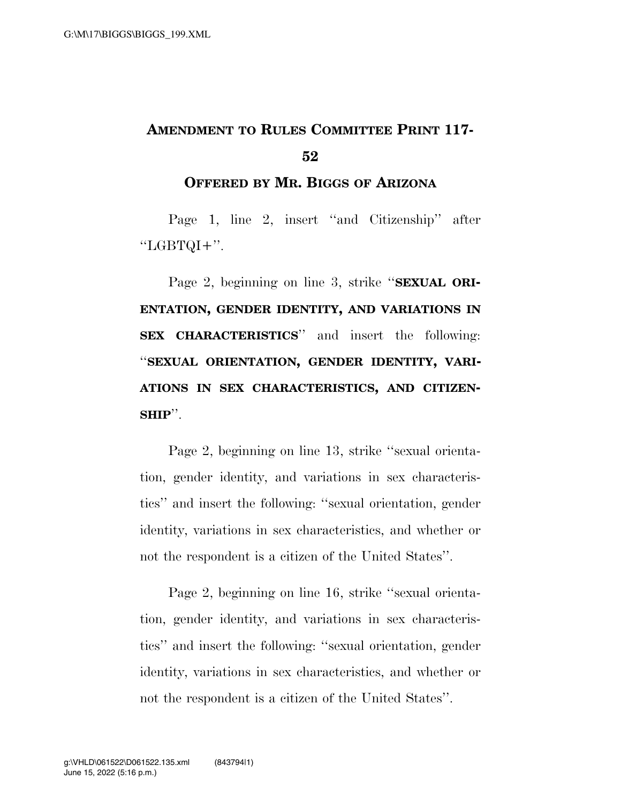## **AMENDMENT TO RULES COMMITTEE PRINT 117- 52**

## **OFFERED BY MR. BIGGS OF ARIZONA**

Page 1, line 2, insert ''and Citizenship'' after  $"LGBTOI+"$ .

Page 2, beginning on line 3, strike ''**SEXUAL ORI-ENTATION, GENDER IDENTITY, AND VARIATIONS IN SEX CHARACTERISTICS**'' and insert the following: ''**SEXUAL ORIENTATION, GENDER IDENTITY, VARI-ATIONS IN SEX CHARACTERISTICS, AND CITIZEN-SHIP**''.

Page 2, beginning on line 13, strike ''sexual orientation, gender identity, and variations in sex characteristics'' and insert the following: ''sexual orientation, gender identity, variations in sex characteristics, and whether or not the respondent is a citizen of the United States''.

Page 2, beginning on line 16, strike ''sexual orientation, gender identity, and variations in sex characteristics'' and insert the following: ''sexual orientation, gender identity, variations in sex characteristics, and whether or not the respondent is a citizen of the United States''.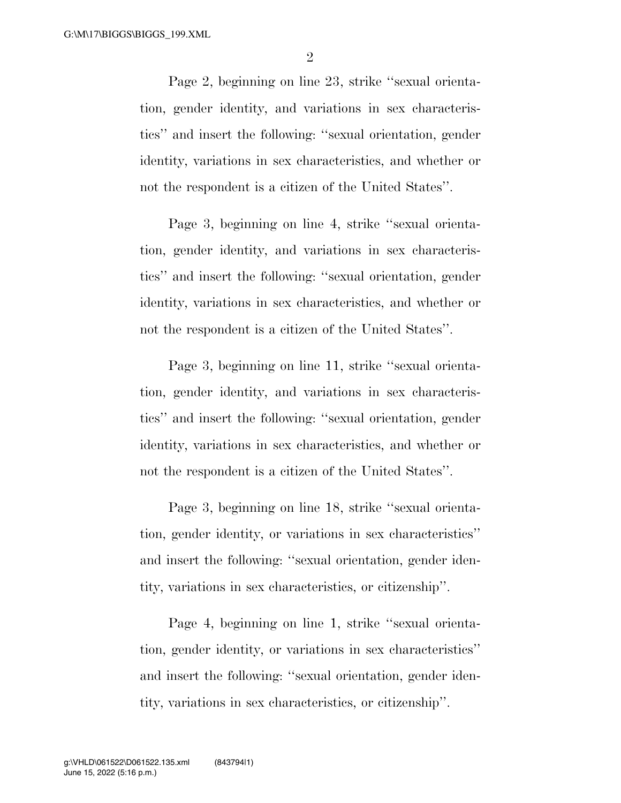2

Page 2, beginning on line 23, strike ''sexual orientation, gender identity, and variations in sex characteristics'' and insert the following: ''sexual orientation, gender identity, variations in sex characteristics, and whether or not the respondent is a citizen of the United States''.

Page 3, beginning on line 4, strike ''sexual orientation, gender identity, and variations in sex characteristics'' and insert the following: ''sexual orientation, gender identity, variations in sex characteristics, and whether or not the respondent is a citizen of the United States''.

Page 3, beginning on line 11, strike ''sexual orientation, gender identity, and variations in sex characteristics'' and insert the following: ''sexual orientation, gender identity, variations in sex characteristics, and whether or not the respondent is a citizen of the United States''.

Page 3, beginning on line 18, strike ''sexual orientation, gender identity, or variations in sex characteristics'' and insert the following: ''sexual orientation, gender identity, variations in sex characteristics, or citizenship''.

Page 4, beginning on line 1, strike ''sexual orientation, gender identity, or variations in sex characteristics'' and insert the following: ''sexual orientation, gender identity, variations in sex characteristics, or citizenship''.